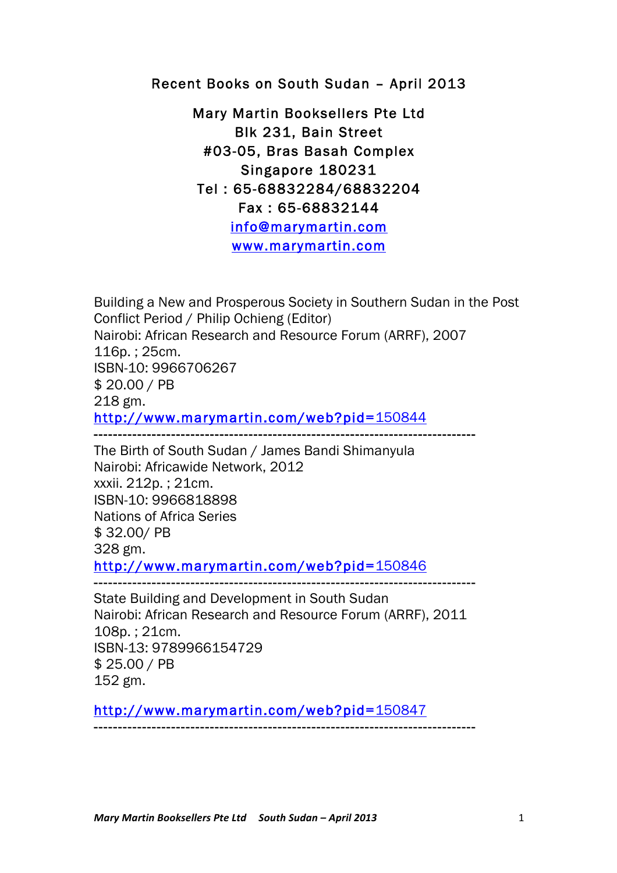Recent Books on South Sudan – April 2013

Mary Martin Booksellers Pte Ltd Blk 231, Bain Street #03-05, Bras Basah Complex Singapore 180231 Tel : 65-68832284/68832204 Fax : 65-68832144 info@marymartin.com www.marymartin.com

Building a New and Prosperous Society in Southern Sudan in the Post Conflict Period / Philip Ochieng (Editor) Nairobi: African Research and Resource Forum (ARRF), 2007 116p. ; 25cm. ISBN-10: 9966706267 \$ 20.00 / PB 218 gm. http://www.marymartin.com/web?pid=150844

The Birth of South Sudan / James Bandi Shimanyula Nairobi: Africawide Network, 2012 xxxii. 212p. ; 21cm. ISBN-10: 9966818898 Nations of Africa Series \$ 32.00/ PB 328 gm. http://www.marymartin.com/web?pid=150846

-------------------------------------------------------------------------------

State Building and Development in South Sudan Nairobi: African Research and Resource Forum (ARRF), 2011 108p. ; 21cm. ISBN-13: 9789966154729 \$ 25.00 / PB 152 gm.

http://www.marymartin.com/web?pid=150847